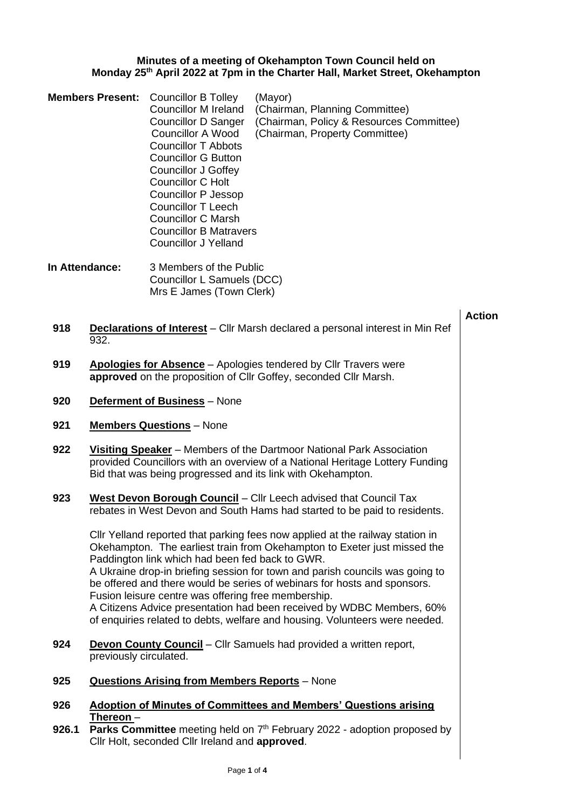## **Minutes of a meeting of Okehampton Town Council held on Monday 25th April 2022 at 7pm in the Charter Hall, Market Street, Okehampton**

|              | <b>Members Present:</b><br>In Attendance:                                                                                                                                                                                     | <b>Councillor B Tolley</b><br><b>Councillor M Ireland</b><br><b>Councillor D Sanger</b><br><b>Councillor A Wood</b><br><b>Councillor T Abbots</b><br><b>Councillor G Button</b><br><b>Councillor J Goffey</b><br><b>Councillor C Holt</b><br><b>Councillor P Jessop</b><br><b>Councillor T Leech</b><br><b>Councillor C Marsh</b><br><b>Councillor B Matravers</b><br><b>Councillor J Yelland</b><br>3 Members of the Public | (Mayor)<br>(Chairman, Planning Committee)<br>(Chairman, Policy & Resources Committee)<br>(Chairman, Property Committee)                                                                                                                                                                                                                                                                                                                                                       |               |  |
|--------------|-------------------------------------------------------------------------------------------------------------------------------------------------------------------------------------------------------------------------------|------------------------------------------------------------------------------------------------------------------------------------------------------------------------------------------------------------------------------------------------------------------------------------------------------------------------------------------------------------------------------------------------------------------------------|-------------------------------------------------------------------------------------------------------------------------------------------------------------------------------------------------------------------------------------------------------------------------------------------------------------------------------------------------------------------------------------------------------------------------------------------------------------------------------|---------------|--|
|              |                                                                                                                                                                                                                               | Councillor L Samuels (DCC)<br>Mrs E James (Town Clerk)                                                                                                                                                                                                                                                                                                                                                                       |                                                                                                                                                                                                                                                                                                                                                                                                                                                                               |               |  |
| 918          | 932.                                                                                                                                                                                                                          |                                                                                                                                                                                                                                                                                                                                                                                                                              | <b>Declarations of Interest</b> – Cllr Marsh declared a personal interest in Min Ref                                                                                                                                                                                                                                                                                                                                                                                          | <b>Action</b> |  |
| 919          | Apologies for Absence - Apologies tendered by Cllr Travers were<br>approved on the proposition of Cllr Goffey, seconded Cllr Marsh.                                                                                           |                                                                                                                                                                                                                                                                                                                                                                                                                              |                                                                                                                                                                                                                                                                                                                                                                                                                                                                               |               |  |
| 920          | <b>Deferment of Business</b> - None                                                                                                                                                                                           |                                                                                                                                                                                                                                                                                                                                                                                                                              |                                                                                                                                                                                                                                                                                                                                                                                                                                                                               |               |  |
| 921          | <b>Members Questions</b> - None                                                                                                                                                                                               |                                                                                                                                                                                                                                                                                                                                                                                                                              |                                                                                                                                                                                                                                                                                                                                                                                                                                                                               |               |  |
| 922          | Visiting Speaker - Members of the Dartmoor National Park Association<br>provided Councillors with an overview of a National Heritage Lottery Funding<br>Bid that was being progressed and its link with Okehampton.           |                                                                                                                                                                                                                                                                                                                                                                                                                              |                                                                                                                                                                                                                                                                                                                                                                                                                                                                               |               |  |
| 923          |                                                                                                                                                                                                                               |                                                                                                                                                                                                                                                                                                                                                                                                                              | West Devon Borough Council - Cllr Leech advised that Council Tax<br>rebates in West Devon and South Hams had started to be paid to residents.                                                                                                                                                                                                                                                                                                                                 |               |  |
|              |                                                                                                                                                                                                                               | Paddington link which had been fed back to GWR.<br>Fusion leisure centre was offering free membership.                                                                                                                                                                                                                                                                                                                       | CIIr Yelland reported that parking fees now applied at the railway station in<br>Okehampton. The earliest train from Okehampton to Exeter just missed the<br>A Ukraine drop-in briefing session for town and parish councils was going to<br>be offered and there would be series of webinars for hosts and sponsors.<br>A Citizens Advice presentation had been received by WDBC Members, 60%<br>of enquiries related to debts, welfare and housing. Volunteers were needed. |               |  |
| 924          | <b>Devon County Council</b> - Cllr Samuels had provided a written report,<br>previously circulated.                                                                                                                           |                                                                                                                                                                                                                                                                                                                                                                                                                              |                                                                                                                                                                                                                                                                                                                                                                                                                                                                               |               |  |
| 925          | <b>Questions Arising from Members Reports - None</b>                                                                                                                                                                          |                                                                                                                                                                                                                                                                                                                                                                                                                              |                                                                                                                                                                                                                                                                                                                                                                                                                                                                               |               |  |
| 926<br>926.1 | <b>Adoption of Minutes of Committees and Members' Questions arising</b><br>Thereon $-$<br><b>Parks Committee</b> meeting held on $7th$ February 2022 - adoption proposed by<br>Cllr Holt, seconded Cllr Ireland and approved. |                                                                                                                                                                                                                                                                                                                                                                                                                              |                                                                                                                                                                                                                                                                                                                                                                                                                                                                               |               |  |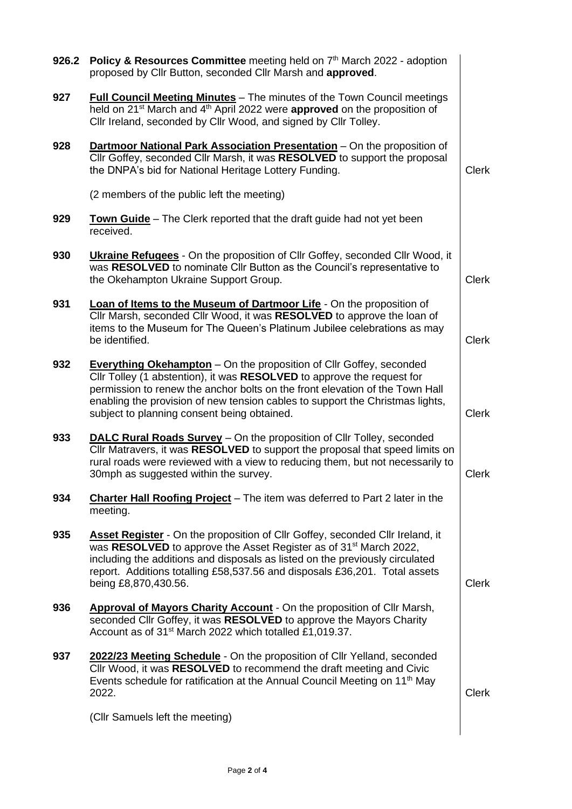| 926.2 | Policy & Resources Committee meeting held on 7th March 2022 - adoption<br>proposed by Cllr Button, seconded Cllr Marsh and approved.                                                                                                                                                                                                                                 |              |
|-------|----------------------------------------------------------------------------------------------------------------------------------------------------------------------------------------------------------------------------------------------------------------------------------------------------------------------------------------------------------------------|--------------|
| 927   | <b>Full Council Meeting Minutes</b> - The minutes of the Town Council meetings<br>held on 21 <sup>st</sup> March and 4 <sup>th</sup> April 2022 were approved on the proposition of<br>Cllr Ireland, seconded by Cllr Wood, and signed by Cllr Tolley.                                                                                                               |              |
| 928   | Dartmoor National Park Association Presentation - On the proposition of<br>Cllr Goffey, seconded Cllr Marsh, it was RESOLVED to support the proposal<br>the DNPA's bid for National Heritage Lottery Funding.                                                                                                                                                        | <b>Clerk</b> |
|       | (2 members of the public left the meeting)                                                                                                                                                                                                                                                                                                                           |              |
| 929   | <b>Town Guide</b> – The Clerk reported that the draft guide had not yet been<br>received.                                                                                                                                                                                                                                                                            |              |
| 930   | <b>Ukraine Refugees</b> - On the proposition of Cllr Goffey, seconded Cllr Wood, it<br>was RESOLVED to nominate Cllr Button as the Council's representative to<br>the Okehampton Ukraine Support Group.                                                                                                                                                              | <b>Clerk</b> |
| 931   | Loan of Items to the Museum of Dartmoor Life - On the proposition of<br>Cllr Marsh, seconded Cllr Wood, it was RESOLVED to approve the loan of<br>items to the Museum for The Queen's Platinum Jubilee celebrations as may<br>be identified.                                                                                                                         | <b>Clerk</b> |
| 932   | <b>Everything Okehampton</b> – On the proposition of Cllr Goffey, seconded<br>Cllr Tolley (1 abstention), it was RESOLVED to approve the request for<br>permission to renew the anchor bolts on the front elevation of the Town Hall<br>enabling the provision of new tension cables to support the Christmas lights,<br>subject to planning consent being obtained. | <b>Clerk</b> |
| 933   | DALC Rural Roads Survey - On the proposition of Cllr Tolley, seconded<br>Cllr Matravers, it was RESOLVED to support the proposal that speed limits on<br>rural roads were reviewed with a view to reducing them, but not necessarily to<br>30mph as suggested within the survey.                                                                                     | <b>Clerk</b> |
| 934   | <b>Charter Hall Roofing Project</b> – The item was deferred to Part 2 later in the<br>meeting.                                                                                                                                                                                                                                                                       |              |
| 935   | <b>Asset Register</b> - On the proposition of Cllr Goffey, seconded Cllr Ireland, it<br>was RESOLVED to approve the Asset Register as of 31 <sup>st</sup> March 2022,<br>including the additions and disposals as listed on the previously circulated<br>report. Additions totalling £58,537.56 and disposals £36,201. Total assets<br>being £8,870,430.56.          | <b>Clerk</b> |
| 936   | <b>Approval of Mayors Charity Account</b> - On the proposition of Cllr Marsh,<br>seconded Cllr Goffey, it was RESOLVED to approve the Mayors Charity<br>Account as of 31 <sup>st</sup> March 2022 which totalled £1,019.37.                                                                                                                                          |              |
| 937   | 2022/23 Meeting Schedule - On the proposition of Cllr Yelland, seconded<br>Cllr Wood, it was RESOLVED to recommend the draft meeting and Civic<br>Events schedule for ratification at the Annual Council Meeting on 11 <sup>th</sup> May<br>2022.                                                                                                                    |              |
|       | (Cllr Samuels left the meeting)                                                                                                                                                                                                                                                                                                                                      |              |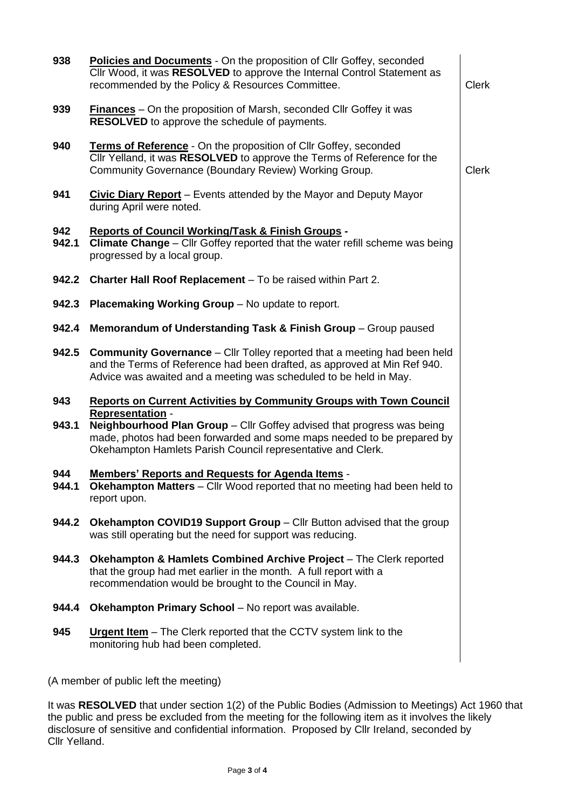| 938          | Policies and Documents - On the proposition of Cllr Goffey, seconded<br>Cllr Wood, it was RESOLVED to approve the Internal Control Statement as<br>recommended by the Policy & Resources Committee.                                        | <b>Clerk</b> |
|--------------|--------------------------------------------------------------------------------------------------------------------------------------------------------------------------------------------------------------------------------------------|--------------|
| 939          | <b>Finances</b> – On the proposition of Marsh, seconded Cllr Goffey it was<br><b>RESOLVED</b> to approve the schedule of payments.                                                                                                         |              |
| 940          | Terms of Reference - On the proposition of Cllr Goffey, seconded<br>Cllr Yelland, it was RESOLVED to approve the Terms of Reference for the<br>Community Governance (Boundary Review) Working Group.                                       | <b>Clerk</b> |
| 941          | <b>Civic Diary Report</b> – Events attended by the Mayor and Deputy Mayor<br>during April were noted.                                                                                                                                      |              |
| 942<br>942.1 | Reports of Council Working/Task & Finish Groups -<br>Climate Change - Cllr Goffey reported that the water refill scheme was being<br>progressed by a local group.                                                                          |              |
| 942.2        | Charter Hall Roof Replacement - To be raised within Part 2.                                                                                                                                                                                |              |
| 942.3        | Placemaking Working Group - No update to report.                                                                                                                                                                                           |              |
| 942.4        | Memorandum of Understanding Task & Finish Group - Group paused                                                                                                                                                                             |              |
| 942.5        | <b>Community Governance</b> – Cllr Tolley reported that a meeting had been held<br>and the Terms of Reference had been drafted, as approved at Min Ref 940.<br>Advice was awaited and a meeting was scheduled to be held in May.           |              |
| 943          | <b>Reports on Current Activities by Community Groups with Town Council</b>                                                                                                                                                                 |              |
| 943.1        | <b>Representation -</b><br>Neighbourhood Plan Group - Cllr Goffey advised that progress was being<br>made, photos had been forwarded and some maps needed to be prepared by<br>Okehampton Hamlets Parish Council representative and Clerk. |              |
| 944<br>944.1 | <b>Members' Reports and Requests for Agenda Items -</b><br><b>Okehampton Matters</b> - Cllr Wood reported that no meeting had been held to<br>report upon.                                                                                 |              |
| 944.2        |                                                                                                                                                                                                                                            |              |
|              | <b>Okehampton COVID19 Support Group - Cllr Button advised that the group</b><br>was still operating but the need for support was reducing.                                                                                                 |              |
| 944.3        | <b>Okehampton &amp; Hamlets Combined Archive Project</b> – The Clerk reported<br>that the group had met earlier in the month. A full report with a<br>recommendation would be brought to the Council in May.                               |              |
| 944.4        | <b>Okehampton Primary School</b> - No report was available.                                                                                                                                                                                |              |
| 945          | <b>Urgent Item</b> – The Clerk reported that the CCTV system link to the<br>monitoring hub had been completed.                                                                                                                             |              |

(A member of public left the meeting)

It was **RESOLVED** that under section 1(2) of the Public Bodies (Admission to Meetings) Act 1960 that the public and press be excluded from the meeting for the following item as it involves the likely disclosure of sensitive and confidential information. Proposed by Cllr Ireland, seconded by Cllr Yelland.